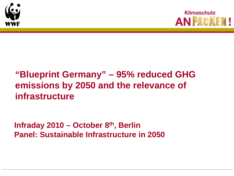



## **"Blueprint Germany" – 95% reduced GHG emissions by 2050 and the relevance of infrastructure**

**Infraday 2010 – October 8th, Berlin Panel: Sustainable Infrastructure in 2050**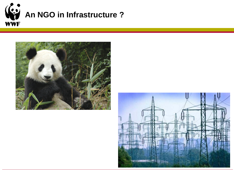



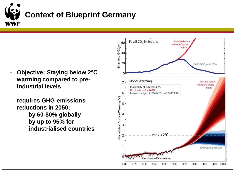

- **Objective: Staying below 2°C warming compared to preindustrial levels**
- **requires GHG-emissions reductions in 2050:**
	- **by 60-80% globally**
	- **by up to 95% for industrialised countries**

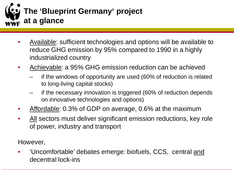

- Available: sufficient technologies and options will be available to reduce GHG emission by 95% compared to 1990 in a highly industrialized country
- Achievable: a 95% GHG emission reduction can be achieved
	- if the windows of opportunity are used (60% of reduction is related to long-living capital stocks)
	- if the necessary innovation is triggered (60% of reduction depends on innovative technologies and options)
- Affordable: 0.3% of GDP on average, 0.6% at the maximum
- All sectors must deliver significant emission reductions, key role of power, industry and transport

However,

• 'Uncomfortable' debates emerge: biofuels, CCS, central and decentral lock-ins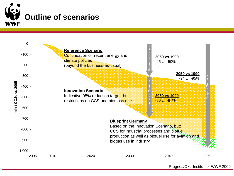



Prognos/Öko-Institut for WWF 2009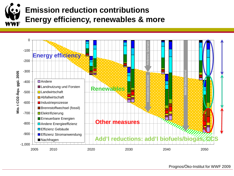# **Emission reduction contributions Energy efficiency, renewables & more**



Prognos/Öko-Institut for WWF 2009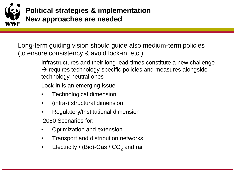

Long-term guiding vision should guide also medium-term policies (to ensure consistency & avoid lock-in, etc.)

- Infrastructures and their long lead-times constitute a new challenge  $\rightarrow$  requires technology-specific policies and measures alongside technology-neutral ones
- Lock-in is an emerging issue
	- Technological dimension
	- (infra-) structural dimension
	- Regulatory/Institutional dimension
- 2050 Scenarios for:
	- Optimization and extension
	- Transport and distribution networks
	- Electricity / (Bio)-Gas /  $CO<sub>2</sub>$  and rail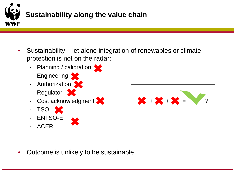

- Sustainability let alone integration of renewables or climate protection is not on the radar:
	- Planning / calibration
	- Engineering
	- Authorization S
	- Regulator
	-
	- TSO X
	- ENTSO-E
	- ACER



• Outcome is unlikely to be sustainable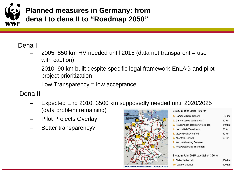

#### Dena I

- 2005: 850 km HV needed until 2015 (data not transparent = use with caution)
- 2010: 90 km built despite specific legal framework EnLAG and pilot project prioritization
- Low Transparency  $=$  low acceptance
- Dena II
	- Expected End 2010, 3500 km supposedly needed until 2020/2025 (data problem remaining)
	- Pilot Projects Overlay
	- Better transparency?



| Bis zum Jahr 2010: 460 km            |        |
|--------------------------------------|--------|
| 1. Hamburg/Nord-Dollern              | 45 km  |
| 2. Ganderkesee-Wehrendorf            | 80 km  |
| 3. Neuenhagen-Bertikow/Vierraden     | 110 km |
| 4. Lauchstädt-Vieselbach             | 80 km  |
| 5. Viesselbach-Altenfeld             | 80 km  |
| 6. Altenfeld-Redwitz                 | 60 km  |
| 7. Netzverstärkung Franken           |        |
| 8. Netzverstärkung Thüringen         |        |
| Bis zum Jahr 2015: zusätzlich 390 km |        |

| 9. Diele-Niederrhein     | 200 km |
|--------------------------|--------|
| <b>10.</b> Wahle-Mecklar | 190 km |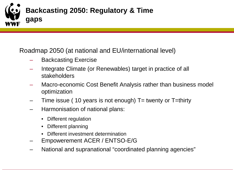

Roadmap 2050 (at national and EU/international level)

- Backcasting Exercise
- Integrate Climate (or Renewables) target in practice of all stakeholders
- Macro-economic Cost Benefit Analysis rather than business model optimization
- Time issue ( 10 years is not enough)  $T=$  twenty or  $T=$ thirty
- Harmonisation of national plans:
	- Different regulation
	- Different planning
	- Different investment determination
- Empowerement ACER / ENTSO-E/G
- National and supranational "coordinated planning agencies"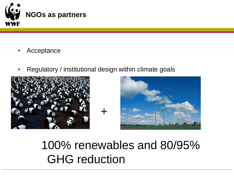

- Acceptance
- Regulatory / institutional design within climate goals

+





100% renewables and 80/95% GHG reduction